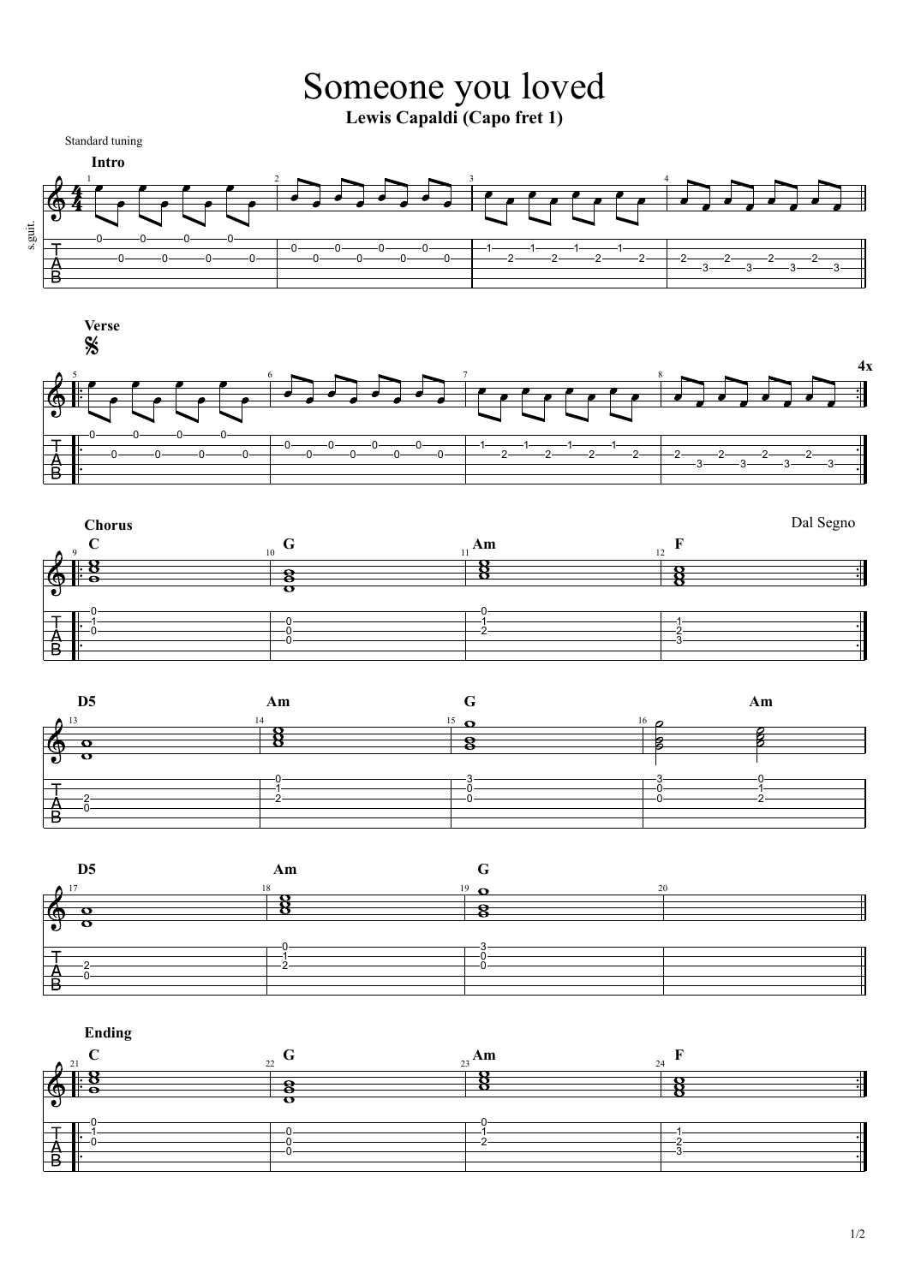











**Ending**